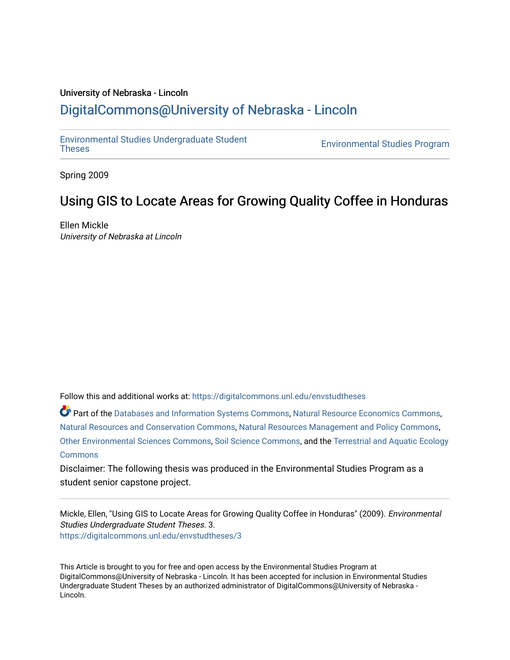# University of Nebraska - Lincoln [DigitalCommons@University of Nebraska - Lincoln](https://digitalcommons.unl.edu/)

[Environmental Studies Undergraduate Student](https://digitalcommons.unl.edu/envstudtheses) 

**Environmental Studies Program** 

Spring 2009

# Using GIS to Locate Areas for Growing Quality Coffee in Honduras

Ellen Mickle University of Nebraska at Lincoln

Follow this and additional works at: [https://digitalcommons.unl.edu/envstudtheses](https://digitalcommons.unl.edu/envstudtheses?utm_source=digitalcommons.unl.edu%2Fenvstudtheses%2F3&utm_medium=PDF&utm_campaign=PDFCoverPages) 

Part of the [Databases and Information Systems Commons](http://network.bepress.com/hgg/discipline/145?utm_source=digitalcommons.unl.edu%2Fenvstudtheses%2F3&utm_medium=PDF&utm_campaign=PDFCoverPages), [Natural Resource Economics Commons,](http://network.bepress.com/hgg/discipline/169?utm_source=digitalcommons.unl.edu%2Fenvstudtheses%2F3&utm_medium=PDF&utm_campaign=PDFCoverPages) [Natural Resources and Conservation Commons,](http://network.bepress.com/hgg/discipline/168?utm_source=digitalcommons.unl.edu%2Fenvstudtheses%2F3&utm_medium=PDF&utm_campaign=PDFCoverPages) [Natural Resources Management and Policy Commons,](http://network.bepress.com/hgg/discipline/170?utm_source=digitalcommons.unl.edu%2Fenvstudtheses%2F3&utm_medium=PDF&utm_campaign=PDFCoverPages) [Other Environmental Sciences Commons,](http://network.bepress.com/hgg/discipline/173?utm_source=digitalcommons.unl.edu%2Fenvstudtheses%2F3&utm_medium=PDF&utm_campaign=PDFCoverPages) [Soil Science Commons,](http://network.bepress.com/hgg/discipline/163?utm_source=digitalcommons.unl.edu%2Fenvstudtheses%2F3&utm_medium=PDF&utm_campaign=PDFCoverPages) and the [Terrestrial and Aquatic Ecology](http://network.bepress.com/hgg/discipline/20?utm_source=digitalcommons.unl.edu%2Fenvstudtheses%2F3&utm_medium=PDF&utm_campaign=PDFCoverPages)  **[Commons](http://network.bepress.com/hgg/discipline/20?utm_source=digitalcommons.unl.edu%2Fenvstudtheses%2F3&utm_medium=PDF&utm_campaign=PDFCoverPages)** 

Disclaimer: The following thesis was produced in the Environmental Studies Program as a student senior capstone project.

Mickle, Ellen, "Using GIS to Locate Areas for Growing Quality Coffee in Honduras" (2009). Environmental Studies Undergraduate Student Theses. 3. [https://digitalcommons.unl.edu/envstudtheses/3](https://digitalcommons.unl.edu/envstudtheses/3?utm_source=digitalcommons.unl.edu%2Fenvstudtheses%2F3&utm_medium=PDF&utm_campaign=PDFCoverPages)

This Article is brought to you for free and open access by the Environmental Studies Program at DigitalCommons@University of Nebraska - Lincoln. It has been accepted for inclusion in Environmental Studies Undergraduate Student Theses by an authorized administrator of DigitalCommons@University of Nebraska - Lincoln.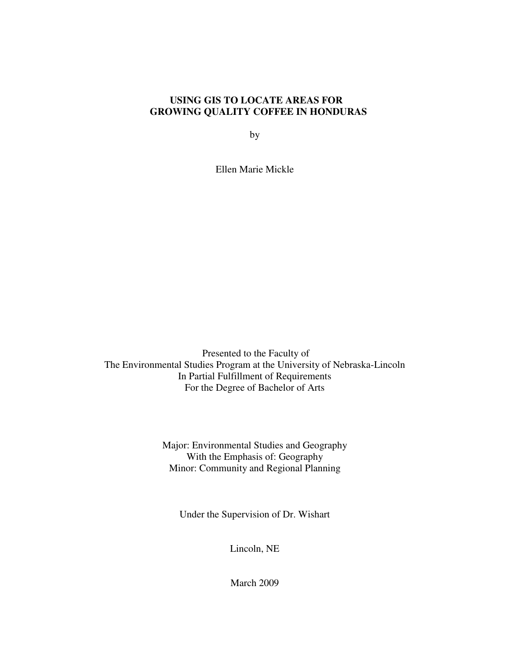### **USING GIS TO LOCATE AREAS FOR GROWING QUALITY COFFEE IN HONDURAS**

by

Ellen Marie Mickle

 Presented to the Faculty of The Environmental Studies Program at the University of Nebraska-Lincoln In Partial Fulfillment of Requirements For the Degree of Bachelor of Arts

> Major: Environmental Studies and Geography With the Emphasis of: Geography Minor: Community and Regional Planning

Under the Supervision of Dr. Wishart

Lincoln, NE

March 2009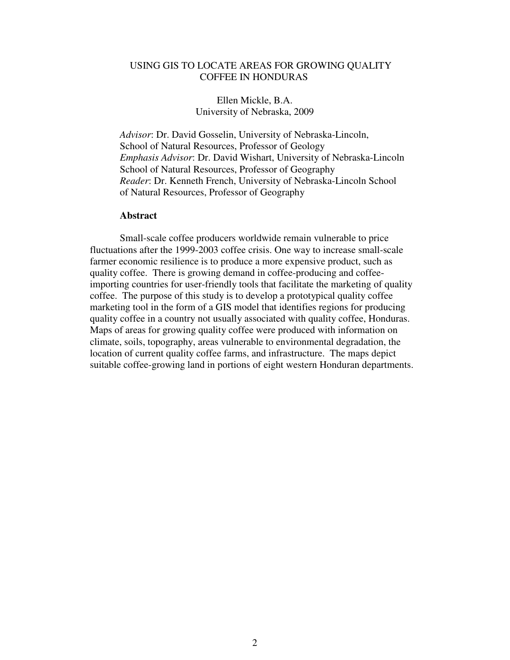#### USING GIS TO LOCATE AREAS FOR GROWING QUALITY COFFEE IN HONDURAS

#### Ellen Mickle, B.A. University of Nebraska, 2009

 *Advisor*: Dr. David Gosselin, University of Nebraska-Lincoln, School of Natural Resources, Professor of Geology  *Emphasis Advisor*: Dr. David Wishart, University of Nebraska-Lincoln School of Natural Resources, Professor of Geography  *Reader*: Dr. Kenneth French, University of Nebraska-Lincoln School of Natural Resources, Professor of Geography

#### **Abstract**

Small-scale coffee producers worldwide remain vulnerable to price fluctuations after the 1999-2003 coffee crisis. One way to increase small-scale farmer economic resilience is to produce a more expensive product, such as quality coffee. There is growing demand in coffee-producing and coffeeimporting countries for user-friendly tools that facilitate the marketing of quality coffee. The purpose of this study is to develop a prototypical quality coffee marketing tool in the form of a GIS model that identifies regions for producing quality coffee in a country not usually associated with quality coffee, Honduras. Maps of areas for growing quality coffee were produced with information on climate, soils, topography, areas vulnerable to environmental degradation, the location of current quality coffee farms, and infrastructure. The maps depict suitable coffee-growing land in portions of eight western Honduran departments.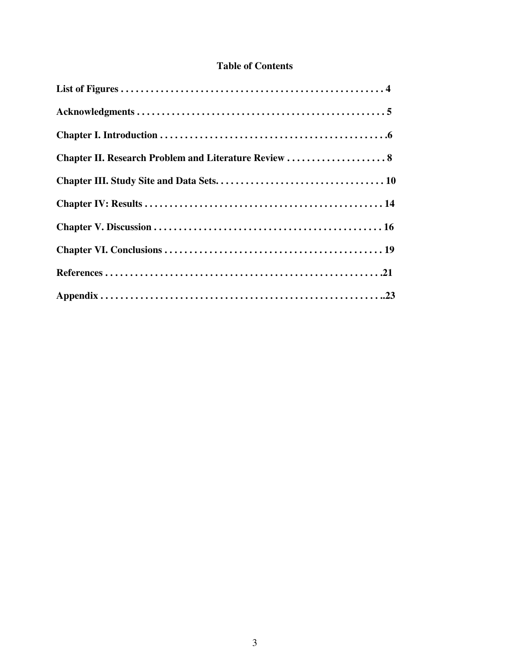## **Table of Contents**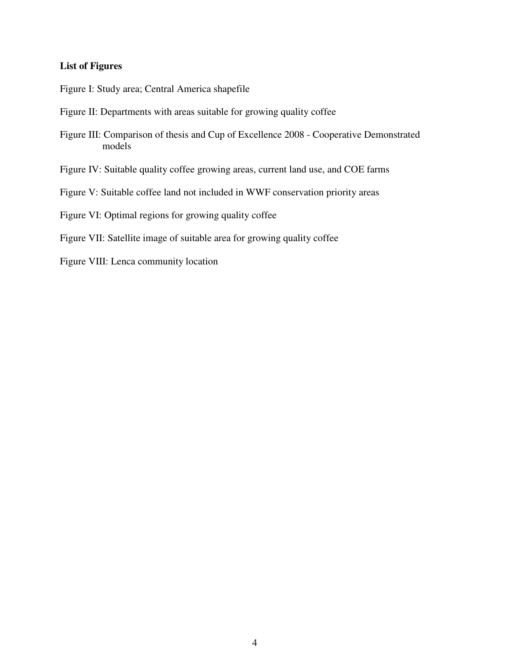#### **List of Figures**

Figure I: Study area; Central America shapefile

- Figure II: Departments with areas suitable for growing quality coffee
- Figure III: Comparison of thesis and Cup of Excellence 2008 Cooperative Demonstrated models
- Figure IV: Suitable quality coffee growing areas, current land use, and COE farms
- Figure V: Suitable coffee land not included in WWF conservation priority areas

Figure VI: Optimal regions for growing quality coffee

- Figure VII: Satellite image of suitable area for growing quality coffee
- Figure VIII: Lenca community location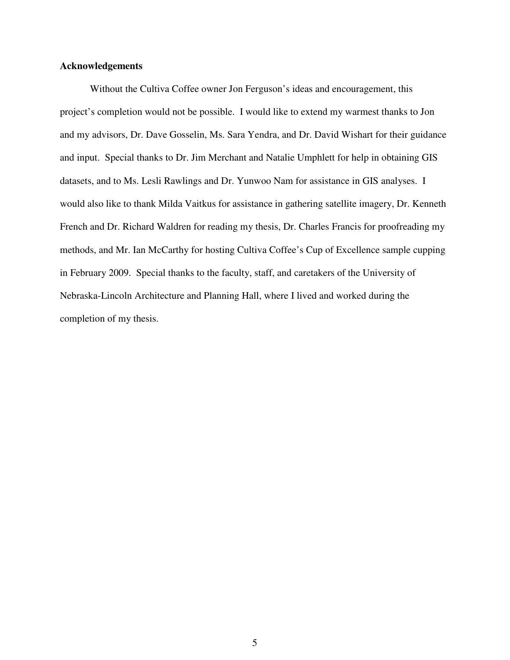#### **Acknowledgements**

Without the Cultiva Coffee owner Jon Ferguson's ideas and encouragement, this project's completion would not be possible. I would like to extend my warmest thanks to Jon and my advisors, Dr. Dave Gosselin, Ms. Sara Yendra, and Dr. David Wishart for their guidance and input. Special thanks to Dr. Jim Merchant and Natalie Umphlett for help in obtaining GIS datasets, and to Ms. Lesli Rawlings and Dr. Yunwoo Nam for assistance in GIS analyses. I would also like to thank Milda Vaitkus for assistance in gathering satellite imagery, Dr. Kenneth French and Dr. Richard Waldren for reading my thesis, Dr. Charles Francis for proofreading my methods, and Mr. Ian McCarthy for hosting Cultiva Coffee's Cup of Excellence sample cupping in February 2009. Special thanks to the faculty, staff, and caretakers of the University of Nebraska-Lincoln Architecture and Planning Hall, where I lived and worked during the completion of my thesis.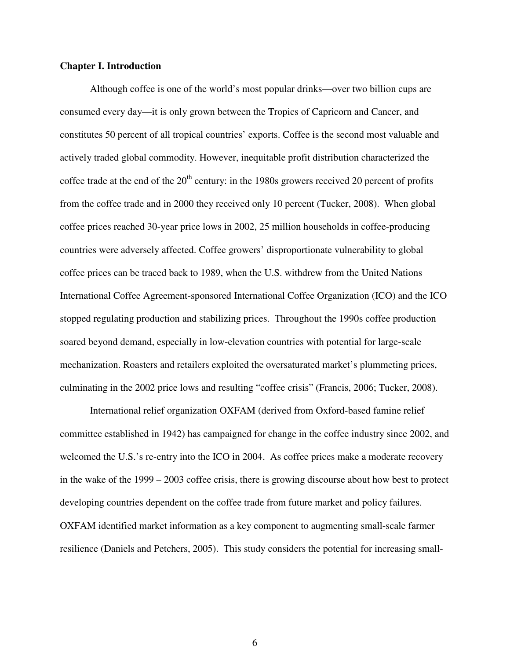#### **Chapter I. Introduction**

 Although coffee is one of the world's most popular drinks—over two billion cups are consumed every day—it is only grown between the Tropics of Capricorn and Cancer, and constitutes 50 percent of all tropical countries' exports. Coffee is the second most valuable and actively traded global commodity. However, inequitable profit distribution characterized the coffee trade at the end of the  $20<sup>th</sup>$  century: in the 1980s growers received 20 percent of profits from the coffee trade and in 2000 they received only 10 percent (Tucker, 2008). When global coffee prices reached 30-year price lows in 2002, 25 million households in coffee-producing countries were adversely affected. Coffee growers' disproportionate vulnerability to global coffee prices can be traced back to 1989, when the U.S. withdrew from the United Nations International Coffee Agreement-sponsored International Coffee Organization (ICO) and the ICO stopped regulating production and stabilizing prices. Throughout the 1990s coffee production soared beyond demand, especially in low-elevation countries with potential for large-scale mechanization. Roasters and retailers exploited the oversaturated market's plummeting prices, culminating in the 2002 price lows and resulting "coffee crisis" (Francis, 2006; Tucker, 2008).

International relief organization OXFAM (derived from Oxford-based famine relief committee established in 1942) has campaigned for change in the coffee industry since 2002, and welcomed the U.S.'s re-entry into the ICO in 2004. As coffee prices make a moderate recovery in the wake of the 1999 – 2003 coffee crisis, there is growing discourse about how best to protect developing countries dependent on the coffee trade from future market and policy failures. OXFAM identified market information as a key component to augmenting small-scale farmer resilience (Daniels and Petchers, 2005). This study considers the potential for increasing small-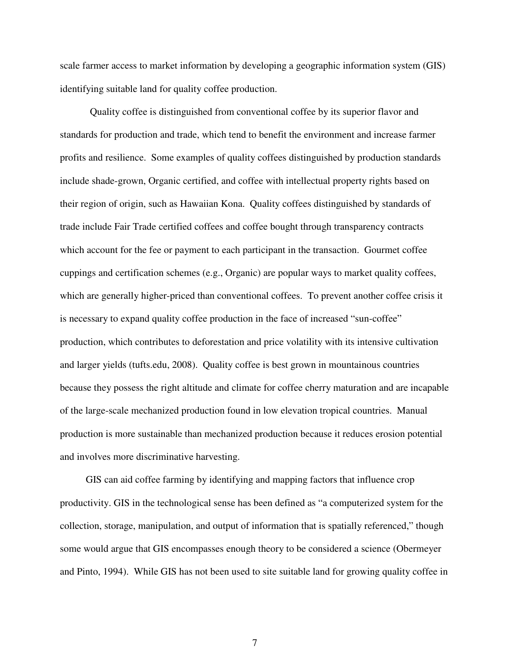scale farmer access to market information by developing a geographic information system (GIS) identifying suitable land for quality coffee production.

Quality coffee is distinguished from conventional coffee by its superior flavor and standards for production and trade, which tend to benefit the environment and increase farmer profits and resilience. Some examples of quality coffees distinguished by production standards include shade-grown, Organic certified, and coffee with intellectual property rights based on their region of origin, such as Hawaiian Kona. Quality coffees distinguished by standards of trade include Fair Trade certified coffees and coffee bought through transparency contracts which account for the fee or payment to each participant in the transaction. Gourmet coffee cuppings and certification schemes (e.g., Organic) are popular ways to market quality coffees, which are generally higher-priced than conventional coffees. To prevent another coffee crisis it is necessary to expand quality coffee production in the face of increased "sun-coffee" production, which contributes to deforestation and price volatility with its intensive cultivation and larger yields (tufts.edu, 2008). Quality coffee is best grown in mountainous countries because they possess the right altitude and climate for coffee cherry maturation and are incapable of the large-scale mechanized production found in low elevation tropical countries. Manual production is more sustainable than mechanized production because it reduces erosion potential and involves more discriminative harvesting.

 GIS can aid coffee farming by identifying and mapping factors that influence crop productivity. GIS in the technological sense has been defined as "a computerized system for the collection, storage, manipulation, and output of information that is spatially referenced," though some would argue that GIS encompasses enough theory to be considered a science (Obermeyer and Pinto, 1994). While GIS has not been used to site suitable land for growing quality coffee in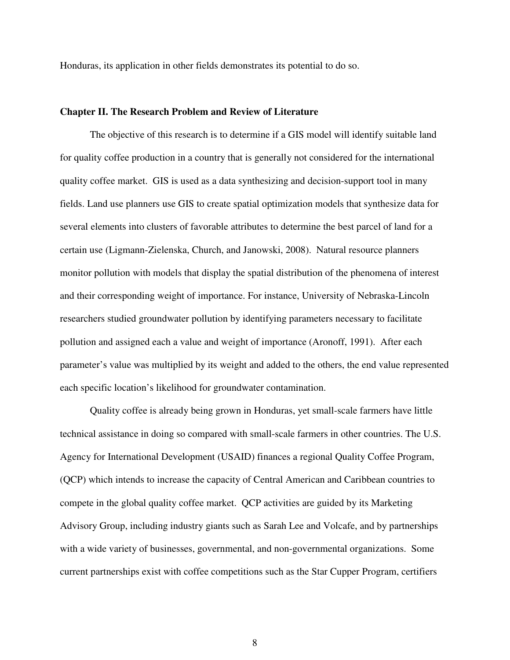Honduras, its application in other fields demonstrates its potential to do so.

#### **Chapter II. The Research Problem and Review of Literature**

The objective of this research is to determine if a GIS model will identify suitable land for quality coffee production in a country that is generally not considered for the international quality coffee market. GIS is used as a data synthesizing and decision-support tool in many fields. Land use planners use GIS to create spatial optimization models that synthesize data for several elements into clusters of favorable attributes to determine the best parcel of land for a certain use (Ligmann-Zielenska, Church, and Janowski, 2008). Natural resource planners monitor pollution with models that display the spatial distribution of the phenomena of interest and their corresponding weight of importance. For instance, University of Nebraska-Lincoln researchers studied groundwater pollution by identifying parameters necessary to facilitate pollution and assigned each a value and weight of importance (Aronoff, 1991). After each parameter's value was multiplied by its weight and added to the others, the end value represented each specific location's likelihood for groundwater contamination.

Quality coffee is already being grown in Honduras, yet small-scale farmers have little technical assistance in doing so compared with small-scale farmers in other countries. The U.S. Agency for International Development (USAID) finances a regional Quality Coffee Program, (QCP) which intends to increase the capacity of Central American and Caribbean countries to compete in the global quality coffee market. QCP activities are guided by its Marketing Advisory Group, including industry giants such as Sarah Lee and Volcafe, and by partnerships with a wide variety of businesses, governmental, and non-governmental organizations. Some current partnerships exist with coffee competitions such as the Star Cupper Program, certifiers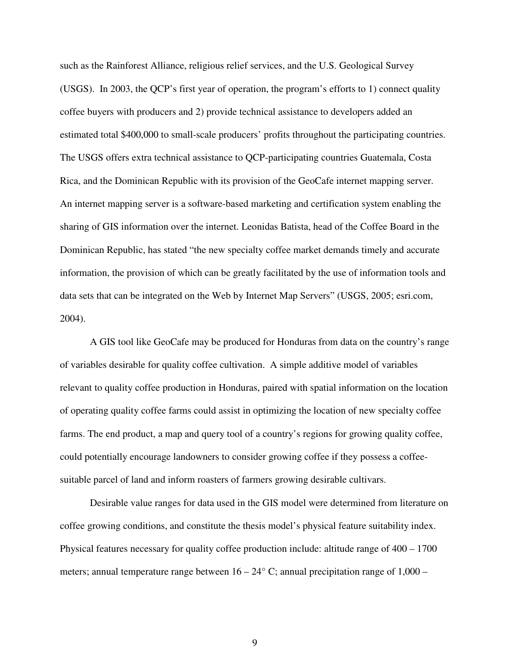such as the Rainforest Alliance, religious relief services, and the U.S. Geological Survey (USGS). In 2003, the QCP's first year of operation, the program's efforts to 1) connect quality coffee buyers with producers and 2) provide technical assistance to developers added an estimated total \$400,000 to small-scale producers' profits throughout the participating countries. The USGS offers extra technical assistance to QCP-participating countries Guatemala, Costa Rica, and the Dominican Republic with its provision of the GeoCafe internet mapping server. An internet mapping server is a software-based marketing and certification system enabling the sharing of GIS information over the internet. Leonidas Batista, head of the Coffee Board in the Dominican Republic, has stated "the new specialty coffee market demands timely and accurate information, the provision of which can be greatly facilitated by the use of information tools and data sets that can be integrated on the Web by Internet Map Servers" (USGS, 2005; esri.com, 2004).

A GIS tool like GeoCafe may be produced for Honduras from data on the country's range of variables desirable for quality coffee cultivation. A simple additive model of variables relevant to quality coffee production in Honduras, paired with spatial information on the location of operating quality coffee farms could assist in optimizing the location of new specialty coffee farms. The end product, a map and query tool of a country's regions for growing quality coffee, could potentially encourage landowners to consider growing coffee if they possess a coffeesuitable parcel of land and inform roasters of farmers growing desirable cultivars.

Desirable value ranges for data used in the GIS model were determined from literature on coffee growing conditions, and constitute the thesis model's physical feature suitability index. Physical features necessary for quality coffee production include: altitude range of 400 – 1700 meters; annual temperature range between  $16 - 24^{\circ}$  C; annual precipitation range of  $1,000 -$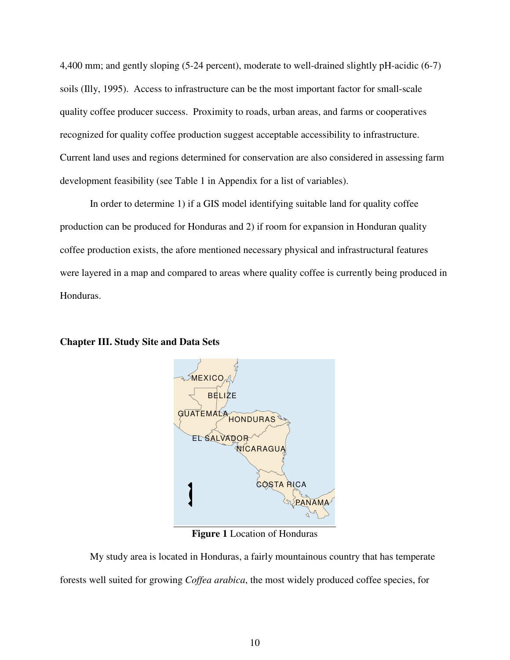4,400 mm; and gently sloping (5-24 percent), moderate to well-drained slightly pH-acidic (6-7) soils (Illy, 1995). Access to infrastructure can be the most important factor for small-scale quality coffee producer success. Proximity to roads, urban areas, and farms or cooperatives recognized for quality coffee production suggest acceptable accessibility to infrastructure. Current land uses and regions determined for conservation are also considered in assessing farm development feasibility (see Table 1 in Appendix for a list of variables).

In order to determine 1) if a GIS model identifying suitable land for quality coffee production can be produced for Honduras and 2) if room for expansion in Honduran quality coffee production exists, the afore mentioned necessary physical and infrastructural features were layered in a map and compared to areas where quality coffee is currently being produced in Honduras.



#### **Chapter III. Study Site and Data Sets**

**Figure 1** Location of Honduras

 My study area is located in Honduras, a fairly mountainous country that has temperate forests well suited for growing *Coffea arabica*, the most widely produced coffee species, for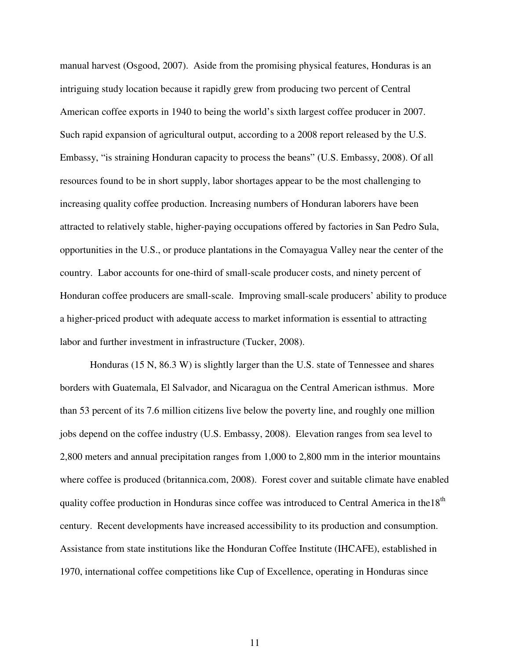manual harvest (Osgood, 2007). Aside from the promising physical features, Honduras is an intriguing study location because it rapidly grew from producing two percent of Central American coffee exports in 1940 to being the world's sixth largest coffee producer in 2007. Such rapid expansion of agricultural output, according to a 2008 report released by the U.S. Embassy, "is straining Honduran capacity to process the beans" (U.S. Embassy, 2008). Of all resources found to be in short supply, labor shortages appear to be the most challenging to increasing quality coffee production. Increasing numbers of Honduran laborers have been attracted to relatively stable, higher-paying occupations offered by factories in San Pedro Sula, opportunities in the U.S., or produce plantations in the Comayagua Valley near the center of the country. Labor accounts for one-third of small-scale producer costs, and ninety percent of Honduran coffee producers are small-scale. Improving small-scale producers' ability to produce a higher-priced product with adequate access to market information is essential to attracting labor and further investment in infrastructure (Tucker, 2008).

Honduras (15 N, 86.3 W) is slightly larger than the U.S. state of Tennessee and shares borders with Guatemala, El Salvador, and Nicaragua on the Central American isthmus. More than 53 percent of its 7.6 million citizens live below the poverty line, and roughly one million jobs depend on the coffee industry (U.S. Embassy, 2008). Elevation ranges from sea level to 2,800 meters and annual precipitation ranges from 1,000 to 2,800 mm in the interior mountains where coffee is produced (britannica.com, 2008). Forest cover and suitable climate have enabled quality coffee production in Honduras since coffee was introduced to Central America in the18<sup>th</sup> century. Recent developments have increased accessibility to its production and consumption. Assistance from state institutions like the Honduran Coffee Institute (IHCAFE), established in 1970, international coffee competitions like Cup of Excellence, operating in Honduras since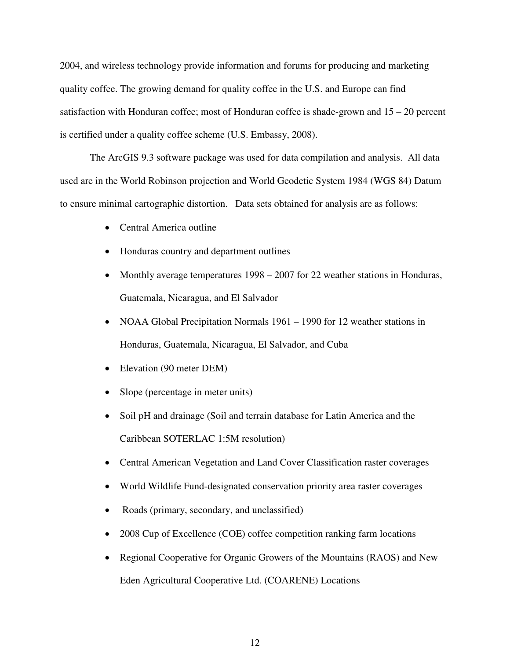2004, and wireless technology provide information and forums for producing and marketing quality coffee. The growing demand for quality coffee in the U.S. and Europe can find satisfaction with Honduran coffee; most of Honduran coffee is shade-grown and  $15 - 20$  percent is certified under a quality coffee scheme (U.S. Embassy, 2008).

The ArcGIS 9.3 software package was used for data compilation and analysis. All data used are in the World Robinson projection and World Geodetic System 1984 (WGS 84) Datum to ensure minimal cartographic distortion. Data sets obtained for analysis are as follows:

- Central America outline
- Honduras country and department outlines
- Monthly average temperatures 1998 2007 for 22 weather stations in Honduras, Guatemala, Nicaragua, and El Salvador
- NOAA Global Precipitation Normals 1961 1990 for 12 weather stations in Honduras, Guatemala, Nicaragua, El Salvador, and Cuba
- Elevation (90 meter DEM)
- Slope (percentage in meter units)
- Soil pH and drainage (Soil and terrain database for Latin America and the Caribbean SOTERLAC 1:5M resolution)
- Central American Vegetation and Land Cover Classification raster coverages
- World Wildlife Fund-designated conservation priority area raster coverages
- Roads (primary, secondary, and unclassified)
- 2008 Cup of Excellence (COE) coffee competition ranking farm locations
- Regional Cooperative for Organic Growers of the Mountains (RAOS) and New Eden Agricultural Cooperative Ltd. (COARENE) Locations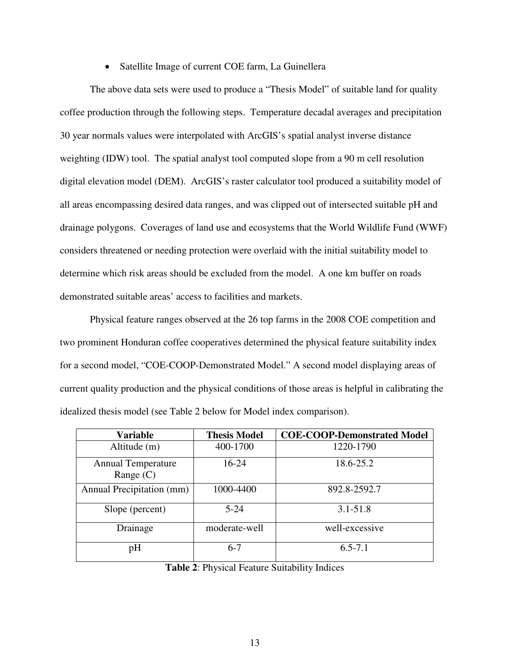#### • Satellite Image of current COE farm, La Guinellera

The above data sets were used to produce a "Thesis Model" of suitable land for quality coffee production through the following steps. Temperature decadal averages and precipitation 30 year normals values were interpolated with ArcGIS's spatial analyst inverse distance weighting (IDW) tool. The spatial analyst tool computed slope from a 90 m cell resolution digital elevation model (DEM). ArcGIS's raster calculator tool produced a suitability model of all areas encompassing desired data ranges, and was clipped out of intersected suitable pH and drainage polygons. Coverages of land use and ecosystems that the World Wildlife Fund (WWF) considers threatened or needing protection were overlaid with the initial suitability model to determine which risk areas should be excluded from the model. A one km buffer on roads demonstrated suitable areas' access to facilities and markets.

Physical feature ranges observed at the 26 top farms in the 2008 COE competition and two prominent Honduran coffee cooperatives determined the physical feature suitability index for a second model, "COE-COOP-Demonstrated Model." A second model displaying areas of current quality production and the physical conditions of those areas is helpful in calibrating the idealized thesis model (see Table 2 below for Model index comparison).

| <b>Variable</b>                          | <b>Thesis Model</b> | <b>COE-COOP-Demonstrated Model</b> |
|------------------------------------------|---------------------|------------------------------------|
| Altitude (m)                             | 400-1700            | 1220-1790                          |
| <b>Annual Temperature</b><br>Range $(C)$ | $16 - 24$           | 18.6-25.2                          |
| Annual Precipitation (mm)                | 1000-4400           | 892.8-2592.7                       |
| Slope (percent)                          | $5 - 24$            | $3.1 - 51.8$                       |
| Drainage                                 | moderate-well       | well-excessive                     |
| pH                                       | $6-7$               | $6.5 - 7.1$                        |

**Table 2**: Physical Feature Suitability Indices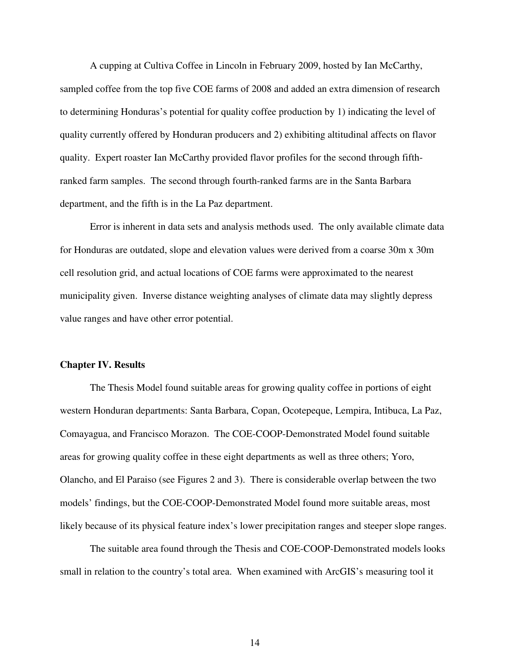A cupping at Cultiva Coffee in Lincoln in February 2009, hosted by Ian McCarthy, sampled coffee from the top five COE farms of 2008 and added an extra dimension of research to determining Honduras's potential for quality coffee production by 1) indicating the level of quality currently offered by Honduran producers and 2) exhibiting altitudinal affects on flavor quality. Expert roaster Ian McCarthy provided flavor profiles for the second through fifthranked farm samples. The second through fourth-ranked farms are in the Santa Barbara department, and the fifth is in the La Paz department.

Error is inherent in data sets and analysis methods used. The only available climate data for Honduras are outdated, slope and elevation values were derived from a coarse 30m x 30m cell resolution grid, and actual locations of COE farms were approximated to the nearest municipality given. Inverse distance weighting analyses of climate data may slightly depress value ranges and have other error potential.

#### **Chapter IV. Results**

The Thesis Model found suitable areas for growing quality coffee in portions of eight western Honduran departments: Santa Barbara, Copan, Ocotepeque, Lempira, Intibuca, La Paz, Comayagua, and Francisco Morazon. The COE-COOP-Demonstrated Model found suitable areas for growing quality coffee in these eight departments as well as three others; Yoro, Olancho, and El Paraiso (see Figures 2 and 3). There is considerable overlap between the two models' findings, but the COE-COOP-Demonstrated Model found more suitable areas, most likely because of its physical feature index's lower precipitation ranges and steeper slope ranges.

The suitable area found through the Thesis and COE-COOP-Demonstrated models looks small in relation to the country's total area. When examined with ArcGIS's measuring tool it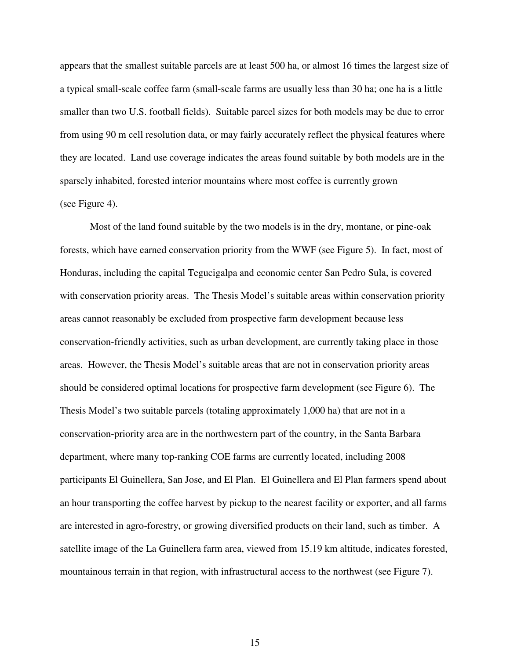appears that the smallest suitable parcels are at least 500 ha, or almost 16 times the largest size of a typical small-scale coffee farm (small-scale farms are usually less than 30 ha; one ha is a little smaller than two U.S. football fields). Suitable parcel sizes for both models may be due to error from using 90 m cell resolution data, or may fairly accurately reflect the physical features where they are located. Land use coverage indicates the areas found suitable by both models are in the sparsely inhabited, forested interior mountains where most coffee is currently grown (see Figure 4).

Most of the land found suitable by the two models is in the dry, montane, or pine-oak forests, which have earned conservation priority from the WWF (see Figure 5). In fact, most of Honduras, including the capital Tegucigalpa and economic center San Pedro Sula, is covered with conservation priority areas. The Thesis Model's suitable areas within conservation priority areas cannot reasonably be excluded from prospective farm development because less conservation-friendly activities, such as urban development, are currently taking place in those areas. However, the Thesis Model's suitable areas that are not in conservation priority areas should be considered optimal locations for prospective farm development (see Figure 6). The Thesis Model's two suitable parcels (totaling approximately 1,000 ha) that are not in a conservation-priority area are in the northwestern part of the country, in the Santa Barbara department, where many top-ranking COE farms are currently located, including 2008 participants El Guinellera, San Jose, and El Plan. El Guinellera and El Plan farmers spend about an hour transporting the coffee harvest by pickup to the nearest facility or exporter, and all farms are interested in agro-forestry, or growing diversified products on their land, such as timber. A satellite image of the La Guinellera farm area, viewed from 15.19 km altitude, indicates forested, mountainous terrain in that region, with infrastructural access to the northwest (see Figure 7).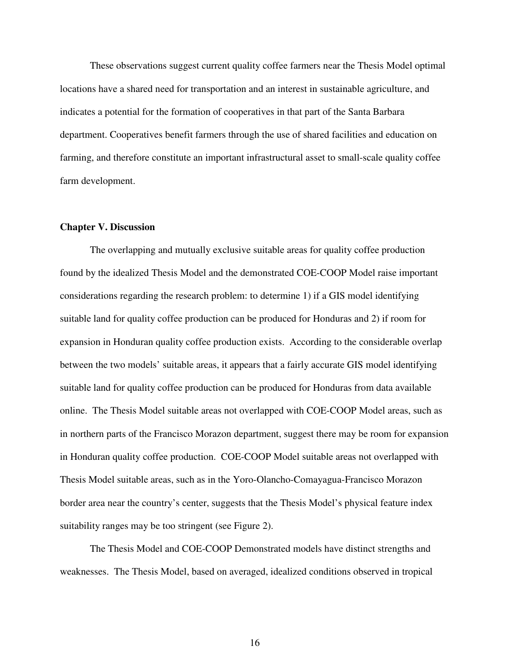These observations suggest current quality coffee farmers near the Thesis Model optimal locations have a shared need for transportation and an interest in sustainable agriculture, and indicates a potential for the formation of cooperatives in that part of the Santa Barbara department. Cooperatives benefit farmers through the use of shared facilities and education on farming, and therefore constitute an important infrastructural asset to small-scale quality coffee farm development.

#### **Chapter V. Discussion**

The overlapping and mutually exclusive suitable areas for quality coffee production found by the idealized Thesis Model and the demonstrated COE-COOP Model raise important considerations regarding the research problem: to determine 1) if a GIS model identifying suitable land for quality coffee production can be produced for Honduras and 2) if room for expansion in Honduran quality coffee production exists. According to the considerable overlap between the two models' suitable areas, it appears that a fairly accurate GIS model identifying suitable land for quality coffee production can be produced for Honduras from data available online. The Thesis Model suitable areas not overlapped with COE-COOP Model areas, such as in northern parts of the Francisco Morazon department, suggest there may be room for expansion in Honduran quality coffee production. COE-COOP Model suitable areas not overlapped with Thesis Model suitable areas, such as in the Yoro-Olancho-Comayagua-Francisco Morazon border area near the country's center, suggests that the Thesis Model's physical feature index suitability ranges may be too stringent (see Figure 2).

The Thesis Model and COE-COOP Demonstrated models have distinct strengths and weaknesses. The Thesis Model, based on averaged, idealized conditions observed in tropical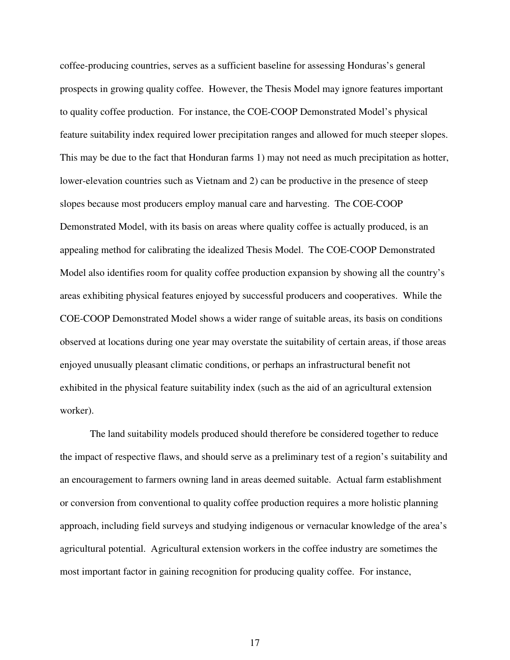coffee-producing countries, serves as a sufficient baseline for assessing Honduras's general prospects in growing quality coffee. However, the Thesis Model may ignore features important to quality coffee production. For instance, the COE-COOP Demonstrated Model's physical feature suitability index required lower precipitation ranges and allowed for much steeper slopes. This may be due to the fact that Honduran farms 1) may not need as much precipitation as hotter, lower-elevation countries such as Vietnam and 2) can be productive in the presence of steep slopes because most producers employ manual care and harvesting. The COE-COOP Demonstrated Model, with its basis on areas where quality coffee is actually produced, is an appealing method for calibrating the idealized Thesis Model. The COE-COOP Demonstrated Model also identifies room for quality coffee production expansion by showing all the country's areas exhibiting physical features enjoyed by successful producers and cooperatives. While the COE-COOP Demonstrated Model shows a wider range of suitable areas, its basis on conditions observed at locations during one year may overstate the suitability of certain areas, if those areas enjoyed unusually pleasant climatic conditions, or perhaps an infrastructural benefit not exhibited in the physical feature suitability index (such as the aid of an agricultural extension worker).

The land suitability models produced should therefore be considered together to reduce the impact of respective flaws, and should serve as a preliminary test of a region's suitability and an encouragement to farmers owning land in areas deemed suitable. Actual farm establishment or conversion from conventional to quality coffee production requires a more holistic planning approach, including field surveys and studying indigenous or vernacular knowledge of the area's agricultural potential. Agricultural extension workers in the coffee industry are sometimes the most important factor in gaining recognition for producing quality coffee. For instance,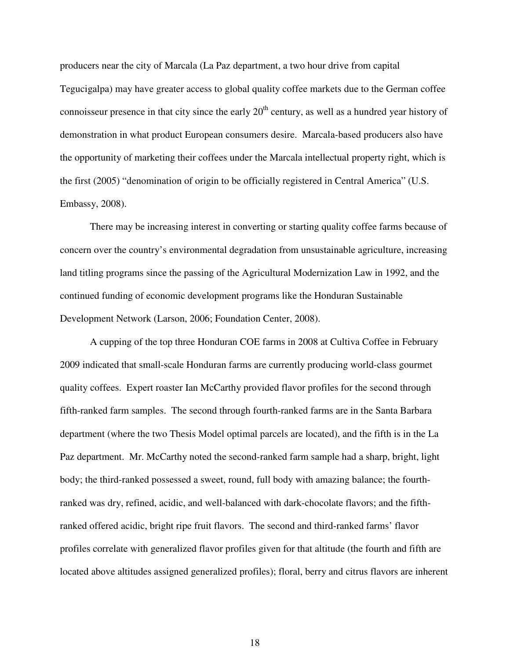producers near the city of Marcala (La Paz department, a two hour drive from capital Tegucigalpa) may have greater access to global quality coffee markets due to the German coffee connoisseur presence in that city since the early  $20<sup>th</sup>$  century, as well as a hundred year history of demonstration in what product European consumers desire. Marcala-based producers also have the opportunity of marketing their coffees under the Marcala intellectual property right, which is the first (2005) "denomination of origin to be officially registered in Central America" (U.S. Embassy, 2008).

There may be increasing interest in converting or starting quality coffee farms because of concern over the country's environmental degradation from unsustainable agriculture, increasing land titling programs since the passing of the Agricultural Modernization Law in 1992, and the continued funding of economic development programs like the Honduran Sustainable Development Network (Larson, 2006; Foundation Center, 2008).

A cupping of the top three Honduran COE farms in 2008 at Cultiva Coffee in February 2009 indicated that small-scale Honduran farms are currently producing world-class gourmet quality coffees. Expert roaster Ian McCarthy provided flavor profiles for the second through fifth-ranked farm samples. The second through fourth-ranked farms are in the Santa Barbara department (where the two Thesis Model optimal parcels are located), and the fifth is in the La Paz department. Mr. McCarthy noted the second-ranked farm sample had a sharp, bright, light body; the third-ranked possessed a sweet, round, full body with amazing balance; the fourthranked was dry, refined, acidic, and well-balanced with dark-chocolate flavors; and the fifthranked offered acidic, bright ripe fruit flavors. The second and third-ranked farms' flavor profiles correlate with generalized flavor profiles given for that altitude (the fourth and fifth are located above altitudes assigned generalized profiles); floral, berry and citrus flavors are inherent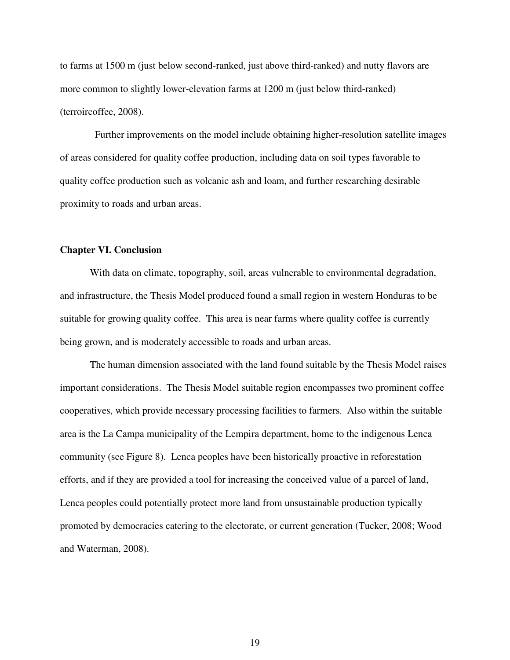to farms at 1500 m (just below second-ranked, just above third-ranked) and nutty flavors are more common to slightly lower-elevation farms at 1200 m (just below third-ranked) (terroircoffee, 2008).

 Further improvements on the model include obtaining higher-resolution satellite images of areas considered for quality coffee production, including data on soil types favorable to quality coffee production such as volcanic ash and loam, and further researching desirable proximity to roads and urban areas.

#### **Chapter VI. Conclusion**

With data on climate, topography, soil, areas vulnerable to environmental degradation, and infrastructure, the Thesis Model produced found a small region in western Honduras to be suitable for growing quality coffee. This area is near farms where quality coffee is currently being grown, and is moderately accessible to roads and urban areas.

The human dimension associated with the land found suitable by the Thesis Model raises important considerations. The Thesis Model suitable region encompasses two prominent coffee cooperatives, which provide necessary processing facilities to farmers. Also within the suitable area is the La Campa municipality of the Lempira department, home to the indigenous Lenca community (see Figure 8). Lenca peoples have been historically proactive in reforestation efforts, and if they are provided a tool for increasing the conceived value of a parcel of land, Lenca peoples could potentially protect more land from unsustainable production typically promoted by democracies catering to the electorate, or current generation (Tucker, 2008; Wood and Waterman, 2008).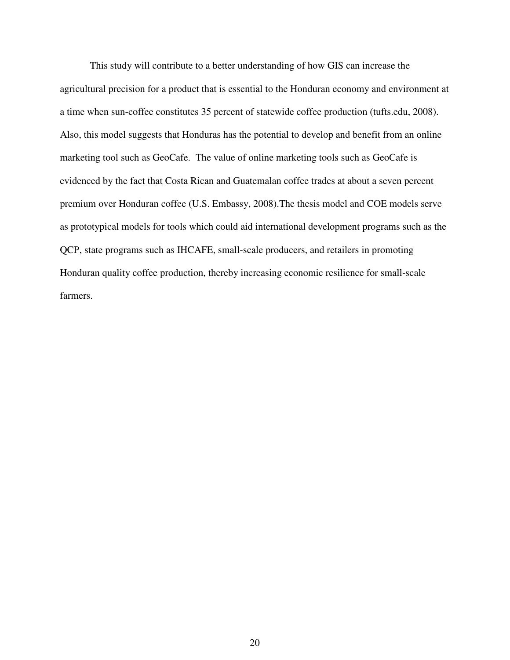This study will contribute to a better understanding of how GIS can increase the agricultural precision for a product that is essential to the Honduran economy and environment at a time when sun-coffee constitutes 35 percent of statewide coffee production (tufts.edu, 2008). Also, this model suggests that Honduras has the potential to develop and benefit from an online marketing tool such as GeoCafe. The value of online marketing tools such as GeoCafe is evidenced by the fact that Costa Rican and Guatemalan coffee trades at about a seven percent premium over Honduran coffee (U.S. Embassy, 2008).The thesis model and COE models serve as prototypical models for tools which could aid international development programs such as the QCP, state programs such as IHCAFE, small-scale producers, and retailers in promoting Honduran quality coffee production, thereby increasing economic resilience for small-scale farmers.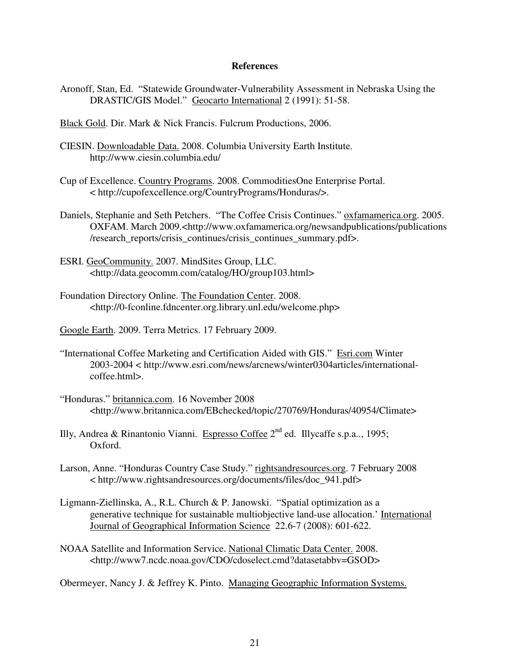#### **References**

- Aronoff, Stan, Ed. "Statewide Groundwater-Vulnerability Assessment in Nebraska Using the DRASTIC/GIS Model." Geocarto International 2 (1991): 51-58.
- Black Gold. Dir. Mark & Nick Francis. Fulcrum Productions, 2006.
- CIESIN. Downloadable Data. 2008. Columbia University Earth Institute. http://www.ciesin.columbia.edu/
- Cup of Excellence. Country Programs. 2008. CommoditiesOne Enterprise Portal. < http://cupofexcellence.org/CountryPrograms/Honduras/>.
- Daniels, Stephanie and Seth Petchers. "The Coffee Crisis Continues." oxfamamerica.org. 2005. OXFAM. March 2009.<http://www.oxfamamerica.org/newsandpublications/publications /research\_reports/crisis\_continues/crisis\_continues\_summary.pdf>.
- ESRI. GeoCommunity. 2007. MindSites Group, LLC. <http://data.geocomm.com/catalog/HO/group103.html>
- Foundation Directory Online. The Foundation Center. 2008. <http://0-fconline.fdncenter.org.library.unl.edu/welcome.php>
- Google Earth. 2009. Terra Metrics. 17 February 2009.
- "International Coffee Marketing and Certification Aided with GIS." Esri.com Winter 2003-2004 < http://www.esri.com/news/arcnews/winter0304articles/internationalcoffee.html>.
- "Honduras." britannica.com. 16 November 2008 <http://www.britannica.com/EBchecked/topic/270769/Honduras/40954/Climate>
- Illy, Andrea & Rinantonio Vianni. Espresso Coffee  $2<sup>nd</sup>$  ed. Illycaffe s.p.a.., 1995; Oxford.
- Larson, Anne. "Honduras Country Case Study." rightsandresources.org. 7 February 2008 < http://www.rightsandresources.org/documents/files/doc\_941.pdf>
- Ligmann-Ziellinska, A., R.L. Church & P. Janowski. "Spatial optimization as a generative technique for sustainable multiobjective land-use allocation.' International Journal of Geographical Information Science 22.6-7 (2008): 601-622.
- NOAA Satellite and Information Service. National Climatic Data Center. 2008. <http://www7.ncdc.noaa.gov/CDO/cdoselect.cmd?datasetabbv=GSOD>

Obermeyer, Nancy J. & Jeffrey K. Pinto. Managing Geographic Information Systems.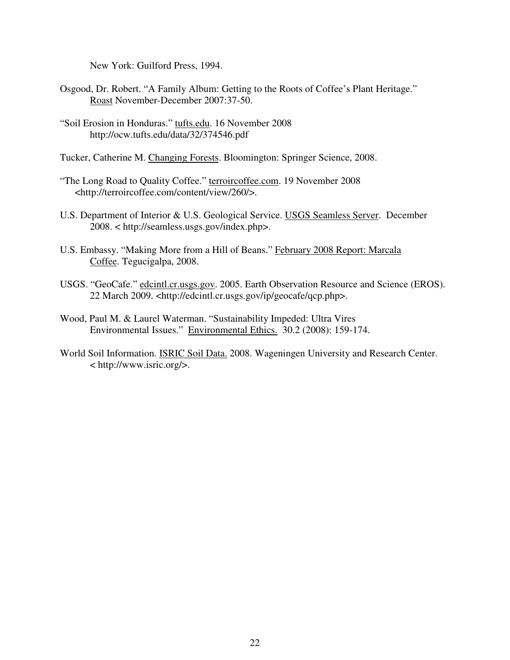New York: Guilford Press, 1994.

- Osgood, Dr. Robert. "A Family Album: Getting to the Roots of Coffee's Plant Heritage." Roast November-December 2007:37-50.
- "Soil Erosion in Honduras." tufts.edu. 16 November 2008 http://ocw.tufts.edu/data/32/374546.pdf
- Tucker, Catherine M. Changing Forests. Bloomington: Springer Science, 2008.
- "The Long Road to Quality Coffee." terroircoffee.com. 19 November 2008 <http://terroircoffee.com/content/view/260/>.
- U.S. Department of Interior & U.S. Geological Service. USGS Seamless Server. December 2008. < http://seamless.usgs.gov/index.php>.
- U.S. Embassy. "Making More from a Hill of Beans." February 2008 Report: Marcala Coffee. Tegucigalpa, 2008.
- USGS. "GeoCafe." edcintl.cr.usgs.gov. 2005. Earth Observation Resource and Science (EROS). 22 March 2009. <http://edcintl.cr.usgs.gov/ip/geocafe/qcp.php>.
- Wood, Paul M. & Laurel Waterman. "Sustainability Impeded: Ultra Vires Environmental Issues." Environmental Ethics. 30.2 (2008): 159-174.
- World Soil Information. ISRIC Soil Data. 2008. Wageningen University and Research Center. < http://www.isric.org/>.